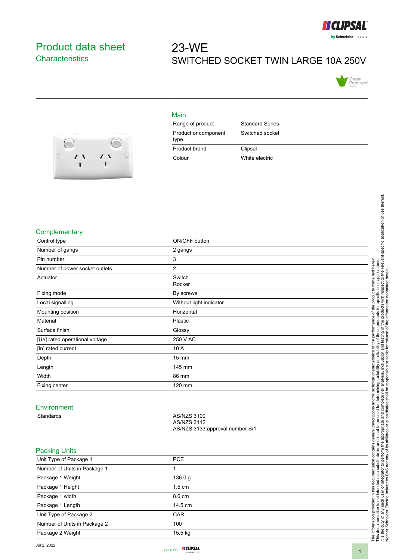

## <span id="page-0-0"></span>Product data sheet **Characteristics**

## 23-WE SWITCHED SOCKET TWIN LARGE 10A 250V





| Main                         |                        |
|------------------------------|------------------------|
| Range of product             | <b>Standard Series</b> |
| Product or component<br>type | Switched socket        |
| Product brand                | Clipsal                |
| Colour                       | White electric         |

## **Complementary**

| Control type                   | ON/OFF button                                                               |
|--------------------------------|-----------------------------------------------------------------------------|
| Number of gangs                | 2 gangs                                                                     |
| Pin number                     | 3                                                                           |
| Number of power socket outlets | $\overline{2}$                                                              |
| Actuator                       | Switch<br>Rocker                                                            |
| Fixing mode                    | By screws                                                                   |
| Local signalling               | Without light indicator                                                     |
| Mounting position              | Horizontal                                                                  |
| Material                       | Plastic                                                                     |
| Surface finish                 | Glossy                                                                      |
| [Ue] rated operational voltage | 250 V AC                                                                    |
| [In] rated current             | 10 A                                                                        |
| Depth                          | 15 mm                                                                       |
| Length                         | 145 mm                                                                      |
| Width                          | 86 mm                                                                       |
| Fixing center                  | 120 mm                                                                      |
|                                |                                                                             |
| Environment                    |                                                                             |
| Standards                      | <b>AS/NZS 3100</b><br><b>AS/NZS 3112</b><br>AS/NZS 3133:approval number S/1 |
| <b>Packing Units</b>           |                                                                             |
| Unit Type of Package 1         | <b>PCE</b>                                                                  |
| Number of Units in Package 1   | $\mathbf{1}$                                                                |
| Package 1 Weight               | 136.0 g                                                                     |
| Package 1 Height               | 1.5 cm                                                                      |
| Package 1 width                | 8.6 cm                                                                      |
| Package 1 Length               | 14.5 cm                                                                     |
| Unit Type of Package 2         | CAR                                                                         |
| Number of Units in Package 2   | 100                                                                         |
| Package 2 Weight               | 15.5 kg                                                                     |